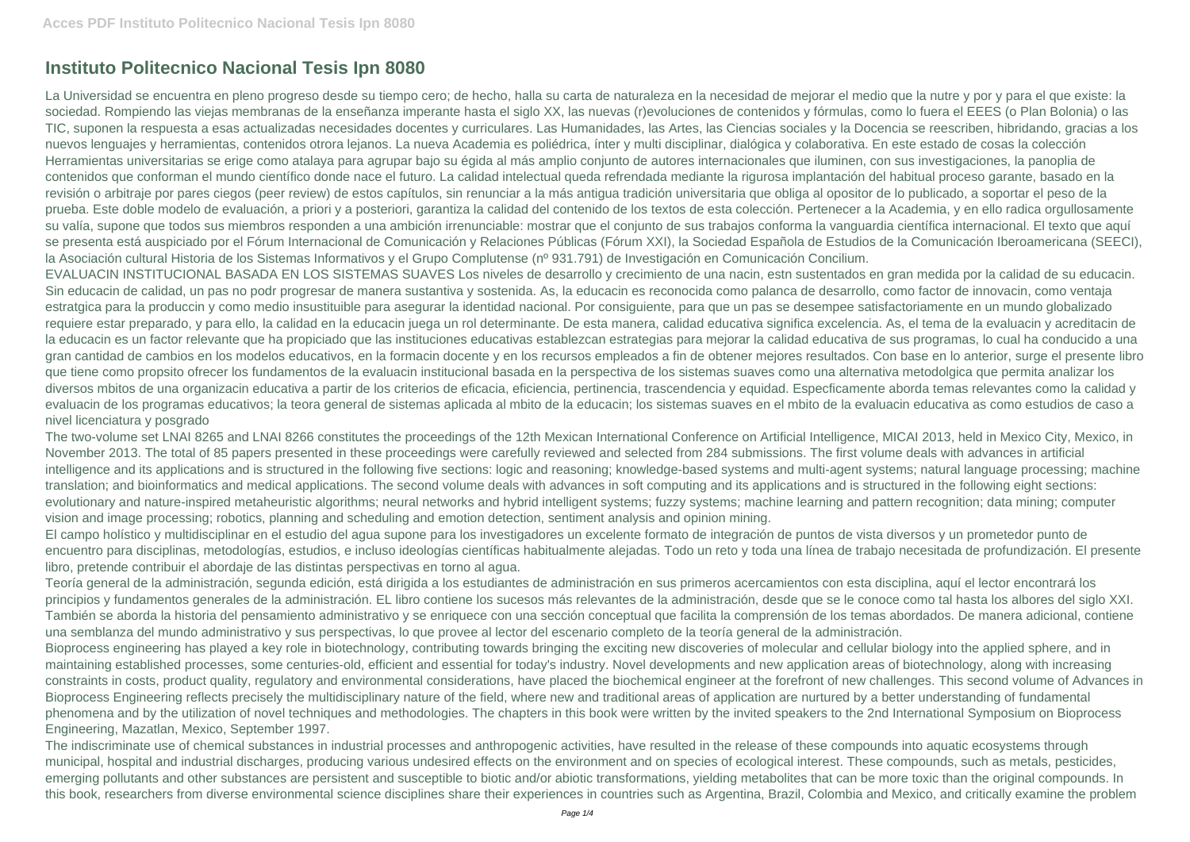## **Instituto Politecnico Nacional Tesis Ipn 8080**

La Universidad se encuentra en pleno progreso desde su tiempo cero; de hecho, halla su carta de naturaleza en la necesidad de mejorar el medio que la nutre y por y para el que existe: la sociedad. Rompiendo las viejas membranas de la enseñanza imperante hasta el siglo XX, las nuevas (r)evoluciones de contenidos y fórmulas, como lo fuera el EEES (o Plan Bolonia) o las TIC, suponen la respuesta a esas actualizadas necesidades docentes y curriculares. Las Humanidades, las Artes, las Ciencias sociales y la Docencia se reescriben, hibridando, gracias a los nuevos lenguajes y herramientas, contenidos otrora lejanos. La nueva Academia es poliédrica, ínter y multi disciplinar, dialógica y colaborativa. En este estado de cosas la colección Herramientas universitarias se erige como atalaya para agrupar bajo su égida al más amplio conjunto de autores internacionales que iluminen, con sus investigaciones, la panoplia de contenidos que conforman el mundo científico donde nace el futuro. La calidad intelectual queda refrendada mediante la rigurosa implantación del habitual proceso garante, basado en la revisión o arbitraje por pares ciegos (peer review) de estos capítulos, sin renunciar a la más antigua tradición universitaria que obliga al opositor de lo publicado, a soportar el peso de la prueba. Este doble modelo de evaluación, a priori y a posteriori, garantiza la calidad del contenido de los textos de esta colección. Pertenecer a la Academia, y en ello radica orgullosamente su valía, supone que todos sus miembros responden a una ambición irrenunciable; mostrar que el conjunto de sus trabajos conforma la vanguardia científica internacional. El texto que aquí se presenta está auspiciado por el Fórum Internacional de Comunicación y Relaciones Públicas (Fórum XXI), la Sociedad Española de Estudios de la Comunicación Iberoamericana (SEECI), la Asociación cultural Historia de los Sistemas Informativos y el Grupo Complutense (nº 931.791) de Investigación en Comunicación Concilium. EVALUACIN INSTITUCIONAL BASADA EN LOS SISTEMAS SUAVES Los niveles de desarrollo y crecimiento de una nacin, estn sustentados en gran medida por la calidad de su educacin. Sin educacin de calidad, un pas no podr progresar de manera sustantiva y sostenida. As, la educacin es reconocida como palanca de desarrollo, como factor de innovacin, como ventaja estratgica para la produccin y como medio insustituible para asegurar la identidad nacional. Por consiguiente, para que un pas se desempee satisfactoriamente en un mundo globalizado requiere estar preparado, y para ello, la calidad en la educacin juega un rol determinante. De esta manera, calidad educativa significa excelencia. As, el tema de la evaluacin y acreditacin de la educacin es un factor relevante que ha propiciado que las instituciones educativas establezcan estrategias para mejorar la calidad educativa de sus programas, lo cual ha conducido a una gran cantidad de cambios en los modelos educativos, en la formacin docente y en los recursos empleados a fin de obtener mejores resultados. Con base en lo anterior, surge el presente libro que tiene como propsito ofrecer los fundamentos de la evaluacin institucional basada en la perspectiva de los sistemas suaves como una alternativa metodolgica que permita analizar los diversos mbitos de una organizacin educativa a partir de los criterios de eficacia, eficiencia, pertinencia, trascendencia y equidad. Especficamente aborda temas relevantes como la calidad y evaluacin de los programas educativos; la teora general de sistemas aplicada al mbito de la educacin; los sistemas suaves en el mbito de la evaluacin educativa as como estudios de caso a nivel licenciatura y posgrado

The two-volume set LNAI 8265 and LNAI 8266 constitutes the proceedings of the 12th Mexican International Conference on Artificial Intelligence, MICAI 2013, held in Mexico City, Mexico, in November 2013. The total of 85 papers presented in these proceedings were carefully reviewed and selected from 284 submissions. The first volume deals with advances in artificial intelligence and its applications and is structured in the following five sections: logic and reasoning; knowledge-based systems and multi-agent systems; natural language processing; machine translation; and bioinformatics and medical applications. The second volume deals with advances in soft computing and its applications and is structured in the following eight sections: evolutionary and nature-inspired metaheuristic algorithms; neural networks and hybrid intelligent systems; fuzzy systems; machine learning and pattern recognition; data mining; computer vision and image processing; robotics, planning and scheduling and emotion detection, sentiment analysis and opinion mining.

El campo holístico y multidisciplinar en el estudio del agua supone para los investigadores un excelente formato de integración de puntos de vista diversos y un prometedor punto de encuentro para disciplinas, metodologías, estudios, e incluso ideologías científicas habitualmente alejadas. Todo un reto y toda una línea de trabajo necesitada de profundización. El presente libro, pretende contribuir el abordaje de las distintas perspectivas en torno al agua.

Teoría general de la administración, segunda edición, está dirigida a los estudiantes de administración en sus primeros acercamientos con esta disciplina, aquí el lector encontrará los principios y fundamentos generales de la administración. EL libro contiene los sucesos más relevantes de la administración, desde que se le conoce como tal hasta los albores del siglo XXI. También se aborda la historia del pensamiento administrativo y se enriquece con una sección conceptual que facilita la comprensión de los temas abordados. De manera adicional, contiene una semblanza del mundo administrativo y sus perspectivas, lo que provee al lector del escenario completo de la teoría general de la administración. Bioprocess engineering has played a key role in biotechnology, contributing towards bringing the exciting new discoveries of molecular and cellular biology into the applied sphere, and in maintaining established processes, some centuries-old, efficient and essential for today's industry. Novel developments and new application areas of biotechnology, along with increasing constraints in costs, product quality, regulatory and environmental considerations, have placed the biochemical engineer at the forefront of new challenges. This second volume of Advances in Bioprocess Engineering reflects precisely the multidisciplinary nature of the field, where new and traditional areas of application are nurtured by a better understanding of fundamental phenomena and by the utilization of novel techniques and methodologies. The chapters in this book were written by the invited speakers to the 2nd International Symposium on Bioprocess Engineering, Mazatlan, Mexico, September 1997.

The indiscriminate use of chemical substances in industrial processes and anthropogenic activities, have resulted in the release of these compounds into aquatic ecosystems through municipal, hospital and industrial discharges, producing various undesired effects on the environment and on species of ecological interest. These compounds, such as metals, pesticides, emerging pollutants and other substances are persistent and susceptible to biotic and/or abiotic transformations, yielding metabolites that can be more toxic than the original compounds. In this book, researchers from diverse environmental science disciplines share their experiences in countries such as Argentina, Brazil, Colombia and Mexico, and critically examine the problem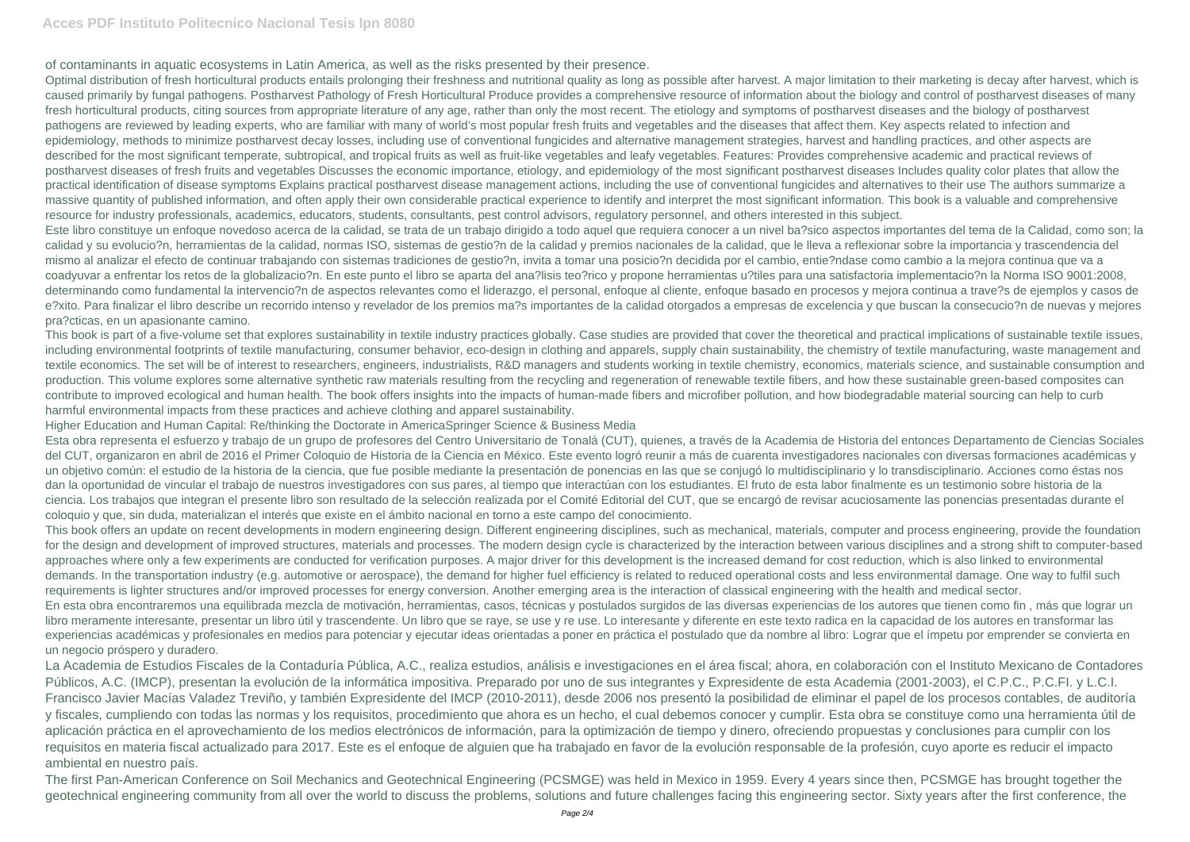## **Acces PDF Instituto Politecnico Nacional Tesis Ipn 8080**

of contaminants in aquatic ecosystems in Latin America, as well as the risks presented by their presence.

Optimal distribution of fresh horticultural products entails prolonging their freshness and nutritional quality as long as possible after harvest. A major limitation to their marketing is decay after harvest, which is caused primarily by fungal pathogens. Postharvest Pathology of Fresh Horticultural Produce provides a comprehensive resource of information about the biology and control of postharvest diseases of many fresh horticultural products, citing sources from appropriate literature of any age, rather than only the most recent. The etiology and symptoms of postharvest diseases and the biology of postharvest pathogens are reviewed by leading experts, who are familiar with many of world's most popular fresh fruits and vegetables and the diseases that affect them. Key aspects related to infection and epidemiology, methods to minimize postharvest decay losses, including use of conventional fungicides and alternative management strategies, harvest and handling practices, and other aspects are described for the most significant temperate, subtropical, and tropical fruits as well as fruit-like vegetables and leafy vegetables. Features: Provides comprehensive academic and practical reviews of postharvest diseases of fresh fruits and vegetables Discusses the economic importance, etiology, and epidemiology of the most significant postharvest diseases Includes quality color plates that allow the practical identification of disease symptoms Explains practical postharvest disease management actions, including the use of conventional fungicides and alternatives to their use The authors summarize a massive quantity of published information, and often apply their own considerable practical experience to identify and interpret the most significant information. This book is a valuable and comprehensive resource for industry professionals, academics, educators, students, consultants, pest control advisors, regulatory personnel, and others interested in this subject. Este libro constituye un enfoque novedoso acerca de la calidad, se trata de un trabajo dirigido a todo aquel que requiera conocer a un nivel ba?sico aspectos importantes del tema de la Calidad, como son; la calidad y su evolucio?n, herramientas de la calidad, normas ISO, sistemas de gestio?n de la calidad y premios nacionales de la calidad, que le lleva a reflexionar sobre la importancia y trascendencia del mismo al analizar el efecto de continuar trabajando con sistemas tradiciones de gestio?n, invita a tomar una posicio?n decidida por el cambio, entie?ndase como cambio a la mejora continua que va a coadyuvar a enfrentar los retos de la globalizacio?n. En este punto el libro se aparta del ana?lisis teo?rico y propone herramientas u?tiles para una satisfactoria implementacio?n la Norma ISO 9001:2008, determinando como fundamental la intervencio?n de aspectos relevantes como el liderazgo, el personal, enfoque al cliente, enfoque basado en procesos y mejora continua a trave?s de ejemplos y casos de e?xito. Para finalizar el libro describe un recorrido intenso y revelador de los premios ma?s importantes de la calidad otorgados a empresas de excelencia y que buscan la consecucio?n de nuevas y mejores pra?cticas, en un apasionante camino.

This book is part of a five-volume set that explores sustainability in textile industry practices globally. Case studies are provided that cover the theoretical and practical implications of sustainable textile issues, including environmental footprints of textile manufacturing, consumer behavior, eco-design in clothing and apparels, supply chain sustainability, the chemistry of textile manufacturing, waste management and textile economics. The set will be of interest to researchers, engineers, industrialists, R&D managers and students working in textile chemistry, economics, materials science, and sustainable consumption and production. This volume explores some alternative synthetic raw materials resulting from the recycling and regeneration of renewable textile fibers, and how these sustainable green-based composites can contribute to improved ecological and human health. The book offers insights into the impacts of human-made fibers and microfiber pollution, and how biodegradable material sourcing can help to curb harmful environmental impacts from these practices and achieve clothing and apparel sustainability.

Higher Education and Human Capital: Re/thinking the Doctorate in AmericaSpringer Science & Business Media

Esta obra representa el esfuerzo y trabajo de un grupo de profesores del Centro Universitario de Tonalá (CUT), quienes, a través de la Academia de Historia del entonces Departamento de Ciencias Sociales del CUT, organizaron en abril de 2016 el Primer Coloquio de Historia de la Ciencia en México. Este evento logró reunir a más de cuarenta investigadores nacionales con diversas formaciones académicas y un objetivo común: el estudio de la historia de la ciencia, que fue posible mediante la presentación de ponencias en las que se conjugó lo multidisciplinario y lo transdisciplinario. Acciones como éstas nos dan la oportunidad de vincular el trabajo de nuestros investigadores con sus pares, al tiempo que interactúan con los estudiantes. El fruto de esta labor finalmente es un testimonio sobre historia de la ciencia. Los trabajos que integran el presente libro son resultado de la selección realizada por el Comité Editorial del CUT, que se encargó de revisar acuciosamente las ponencias presentadas durante el coloquio y que, sin duda, materializan el interés que existe en el ámbito nacional en torno a este campo del conocimiento.

This book offers an update on recent developments in modern engineering design. Different engineering disciplines, such as mechanical, materials, computer and process engineering, provide the foundation for the design and development of improved structures, materials and processes. The modern design cycle is characterized by the interaction between various disciplines and a strong shift to computer-based approaches where only a few experiments are conducted for verification purposes. A major driver for this development is the increased demand for cost reduction, which is also linked to environmental demands. In the transportation industry (e.g. automotive or aerospace), the demand for higher fuel efficiency is related to reduced operational costs and less environmental damage. One way to fulfil such requirements is lighter structures and/or improved processes for energy conversion. Another emerging area is the interaction of classical engineering with the health and medical sector. En esta obra encontraremos una equilibrada mezcla de motivación, herramientas, casos, técnicas y postulados surgidos de las diversas experiencias de los autores que tienen como fin , más que lograr un libro meramente interesante, presentar un libro útil y trascendente. Un libro que se raye, se use y re use. Lo interesante y diferente en este texto radica en la capacidad de los autores en transformar las experiencias académicas y profesionales en medios para potenciar y ejecutar ideas orientadas a poner en práctica el postulado que da nombre al libro: Lograr que el ímpetu por emprender se convierta en un negocio próspero y duradero.

La Academia de Estudios Fiscales de la Contaduría Pública, A.C., realiza estudios, análisis e investigaciones en el área fiscal; ahora, en colaboración con el Instituto Mexicano de Contadores Públicos, A.C. (IMCP), presentan la evolución de la informática impositiva. Preparado por uno de sus integrantes y Expresidente de esta Academia (2001-2003), el C.P.C., P.C.FI. y L.C.I. Francisco Javier Macías Valadez Treviño, y también Expresidente del IMCP (2010-2011), desde 2006 nos presentó la posibilidad de eliminar el papel de los procesos contables, de auditoría y fiscales, cumpliendo con todas las normas y los requisitos, procedimiento que ahora es un hecho, el cual debemos conocer y cumplir. Esta obra se constituye como una herramienta útil de aplicación práctica en el aprovechamiento de los medios electrónicos de información, para la optimización de tiempo y dinero, ofreciendo propuestas y conclusiones para cumplir con los requisitos en materia fiscal actualizado para 2017. Este es el enfoque de alguien que ha trabajado en favor de la evolución responsable de la profesión, cuyo aporte es reducir el impacto ambiental en nuestro país.

The first Pan-American Conference on Soil Mechanics and Geotechnical Engineering (PCSMGE) was held in Mexico in 1959. Every 4 years since then, PCSMGE has brought together the geotechnical engineering community from all over the world to discuss the problems, solutions and future challenges facing this engineering sector. Sixty years after the first conference, the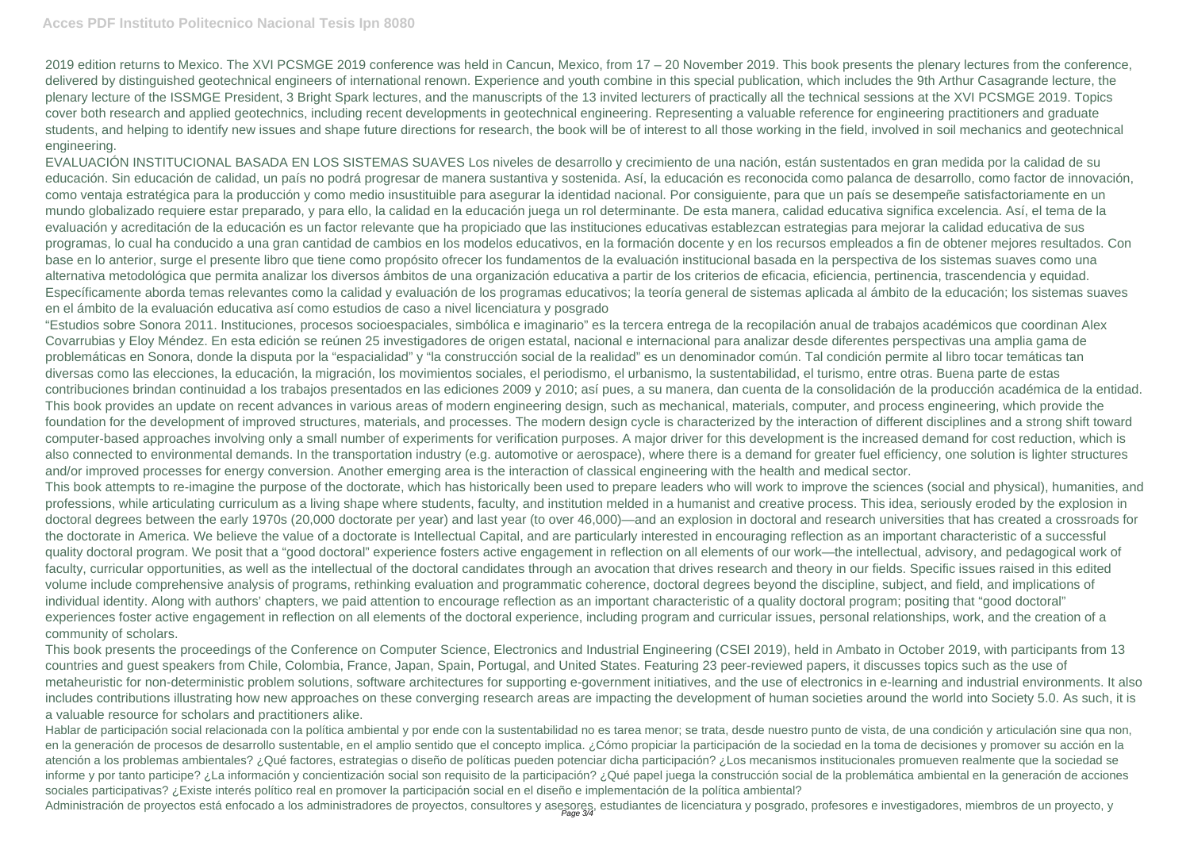2019 edition returns to Mexico. The XVI PCSMGE 2019 conference was held in Cancun, Mexico, from 17 – 20 November 2019. This book presents the plenary lectures from the conference, delivered by distinguished geotechnical engineers of international renown. Experience and youth combine in this special publication, which includes the 9th Arthur Casagrande lecture, the plenary lecture of the ISSMGE President, 3 Bright Spark lectures, and the manuscripts of the 13 invited lecturers of practically all the technical sessions at the XVI PCSMGE 2019. Topics cover both research and applied geotechnics, including recent developments in geotechnical engineering. Representing a valuable reference for engineering practitioners and graduate students, and helping to identify new issues and shape future directions for research, the book will be of interest to all those working in the field, involved in soil mechanics and geotechnical engineering.

EVALUACIÓN INSTITUCIONAL BASADA EN LOS SISTEMAS SUAVES Los niveles de desarrollo y crecimiento de una nación, están sustentados en gran medida por la calidad de su educación. Sin educación de calidad, un país no podrá progresar de manera sustantiva y sostenida. Así, la educación es reconocida como palanca de desarrollo, como factor de innovación, como ventaja estratégica para la producción y como medio insustituible para asegurar la identidad nacional. Por consiguiente, para que un país se desempeñe satisfactoriamente en un mundo globalizado requiere estar preparado, y para ello, la calidad en la educación juega un rol determinante. De esta manera, calidad educativa significa excelencia. Así, el tema de la evaluación y acreditación de la educación es un factor relevante que ha propiciado que las instituciones educativas establezcan estrategias para mejorar la calidad educativa de sus programas, lo cual ha conducido a una gran cantidad de cambios en los modelos educativos, en la formación docente y en los recursos empleados a fin de obtener mejores resultados. Con base en lo anterior, surge el presente libro que tiene como propósito ofrecer los fundamentos de la evaluación institucional basada en la perspectiva de los sistemas suaves como una alternativa metodológica que permita analizar los diversos ámbitos de una organización educativa a partir de los criterios de eficacia, eficiencia, pertinencia, trascendencia y equidad. Específicamente aborda temas relevantes como la calidad y evaluación de los programas educativos; la teoría general de sistemas aplicada al ámbito de la educación; los sistemas suaves en el ámbito de la evaluación educativa así como estudios de caso a nivel licenciatura y posgrado

"Estudios sobre Sonora 2011. Instituciones, procesos socioespaciales, simbólica e imaginario" es la tercera entrega de la recopilación anual de trabajos académicos que coordinan Alex Covarrubias y Eloy Méndez. En esta edición se reúnen 25 investigadores de origen estatal, nacional e internacional para analizar desde diferentes perspectivas una amplia gama de problemáticas en Sonora, donde la disputa por la "espacialidad" y "la construcción social de la realidad" es un denominador común. Tal condición permite al libro tocar temáticas tan diversas como las elecciones, la educación, la migración, los movimientos sociales, el periodismo, el urbanismo, la sustentabilidad, el turismo, entre otras. Buena parte de estas contribuciones brindan continuidad a los trabajos presentados en las ediciones 2009 y 2010; así pues, a su manera, dan cuenta de la consolidación de la producción académica de la entidad. This book provides an update on recent advances in various areas of modern engineering design, such as mechanical, materials, computer, and process engineering, which provide the foundation for the development of improved structures, materials, and processes. The modern design cycle is characterized by the interaction of different disciplines and a strong shift toward computer-based approaches involving only a small number of experiments for verification purposes. A major driver for this development is the increased demand for cost reduction, which is also connected to environmental demands. In the transportation industry (e.g. automotive or aerospace), where there is a demand for greater fuel efficiency, one solution is lighter structures and/or improved processes for energy conversion. Another emerging area is the interaction of classical engineering with the health and medical sector. This book attempts to re-imagine the purpose of the doctorate, which has historically been used to prepare leaders who will work to improve the sciences (social and physical), humanities, and professions, while articulating curriculum as a living shape where students, faculty, and institution melded in a humanist and creative process. This idea, seriously eroded by the explosion in doctoral degrees between the early 1970s (20,000 doctorate per year) and last year (to over 46,000)—and an explosion in doctoral and research universities that has created a crossroads for the doctorate in America. We believe the value of a doctorate is Intellectual Capital, and are particularly interested in encouraging reflection as an important characteristic of a successful quality doctoral program. We posit that a "good doctoral" experience fosters active engagement in reflection on all elements of our work—the intellectual, advisory, and pedagogical work of faculty, curricular opportunities, as well as the intellectual of the doctoral candidates through an avocation that drives research and theory in our fields. Specific issues raised in this edited volume include comprehensive analysis of programs, rethinking evaluation and programmatic coherence, doctoral degrees beyond the discipline, subject, and field, and implications of individual identity. Along with authors' chapters, we paid attention to encourage reflection as an important characteristic of a quality doctoral program; positing that "good doctoral" experiences foster active engagement in reflection on all elements of the doctoral experience, including program and curricular issues, personal relationships, work, and the creation of a community of scholars.

This book presents the proceedings of the Conference on Computer Science, Electronics and Industrial Engineering (CSEI 2019), held in Ambato in October 2019, with participants from 13 countries and guest speakers from Chile, Colombia, France, Japan, Spain, Portugal, and United States. Featuring 23 peer-reviewed papers, it discusses topics such as the use of metaheuristic for non-deterministic problem solutions, software architectures for supporting e-government initiatives, and the use of electronics in e-learning and industrial environments. It also includes contributions illustrating how new approaches on these converging research areas are impacting the development of human societies around the world into Society 5.0. As such, it is a valuable resource for scholars and practitioners alike.

Hablar de participación social relacionada con la política ambiental y por ende con la sustentabilidad no es tarea menor; se trata, desde nuestro punto de vista, de una condición y articulación sine qua non, en la generación de procesos de desarrollo sustentable, en el amplio sentido que el concepto implica. ¿Cómo propiciar la participación de la sociedad en la toma de decisiones y promover su acción en la atención a los problemas ambientales? ¿Qué factores, estrategias o diseño de políticas pueden potenciar dicha participación? ¿Los mecanismos institucionales promueven realmente que la sociedad se informe y por tanto participe? ¿La información y concientización social son requisito de la participación? ¿Qué papel juega la construcción social de la problemática ambiental en la generación de acciones sociales participativas? ¿Existe interés político real en promover la participación social en el diseño e implementación de la política ambiental? Administración de proyectos está enfocado a los administradores de proyectos, consultores y asesores, estudiantes de licenciatura y posgrado, profesores e investigadores, miembros de un proyecto, y